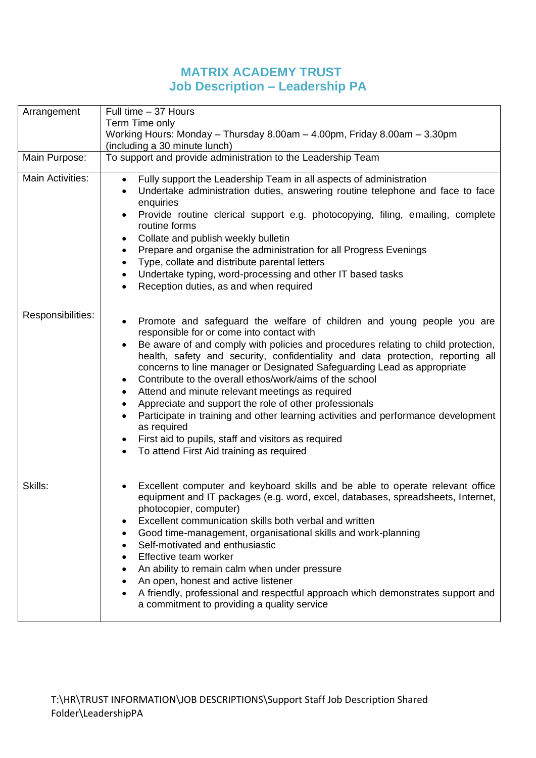## **MATRIX ACADEMY TRUST Job Description – Leadership PA**

| Arrangement             | Full time - 37 Hours                                                                                                                                                                                                                                                                                                                                                                                                                                                                                                                                                                                                                                                                                                                                                                                             |  |  |
|-------------------------|------------------------------------------------------------------------------------------------------------------------------------------------------------------------------------------------------------------------------------------------------------------------------------------------------------------------------------------------------------------------------------------------------------------------------------------------------------------------------------------------------------------------------------------------------------------------------------------------------------------------------------------------------------------------------------------------------------------------------------------------------------------------------------------------------------------|--|--|
|                         | Term Time only                                                                                                                                                                                                                                                                                                                                                                                                                                                                                                                                                                                                                                                                                                                                                                                                   |  |  |
|                         | Working Hours: Monday - Thursday 8.00am - 4.00pm, Friday 8.00am - 3.30pm<br>(including a 30 minute lunch)                                                                                                                                                                                                                                                                                                                                                                                                                                                                                                                                                                                                                                                                                                        |  |  |
| Main Purpose:           | To support and provide administration to the Leadership Team                                                                                                                                                                                                                                                                                                                                                                                                                                                                                                                                                                                                                                                                                                                                                     |  |  |
|                         |                                                                                                                                                                                                                                                                                                                                                                                                                                                                                                                                                                                                                                                                                                                                                                                                                  |  |  |
| <b>Main Activities:</b> | Fully support the Leadership Team in all aspects of administration<br>$\bullet$<br>Undertake administration duties, answering routine telephone and face to face<br>٠<br>enquiries<br>Provide routine clerical support e.g. photocopying, filing, emailing, complete<br>$\bullet$<br>routine forms<br>Collate and publish weekly bulletin<br>٠<br>Prepare and organise the administration for all Progress Evenings<br>٠<br>Type, collate and distribute parental letters<br>٠<br>Undertake typing, word-processing and other IT based tasks<br>$\bullet$<br>Reception duties, as and when required                                                                                                                                                                                                              |  |  |
| Responsibilities:       | Promote and safeguard the welfare of children and young people you are<br>٠<br>responsible for or come into contact with<br>Be aware of and comply with policies and procedures relating to child protection,<br>$\bullet$<br>health, safety and security, confidentiality and data protection, reporting all<br>concerns to line manager or Designated Safeguarding Lead as appropriate<br>Contribute to the overall ethos/work/aims of the school<br>٠<br>Attend and minute relevant meetings as required<br>٠<br>Appreciate and support the role of other professionals<br>Participate in training and other learning activities and performance development<br>$\bullet$<br>as required<br>First aid to pupils, staff and visitors as required<br>٠<br>To attend First Aid training as required<br>$\bullet$ |  |  |
| Skills:                 | Excellent computer and keyboard skills and be able to operate relevant office<br>equipment and IT packages (e.g. word, excel, databases, spreadsheets, Internet,<br>photocopier, computer)<br>Excellent communication skills both verbal and written<br>٠<br>Good time-management, organisational skills and work-planning<br>Self-motivated and enthusiastic<br>Effective team worker<br>An ability to remain calm when under pressure<br>An open, honest and active listener<br>A friendly, professional and respectful approach which demonstrates support and<br>a commitment to providing a quality service                                                                                                                                                                                                 |  |  |